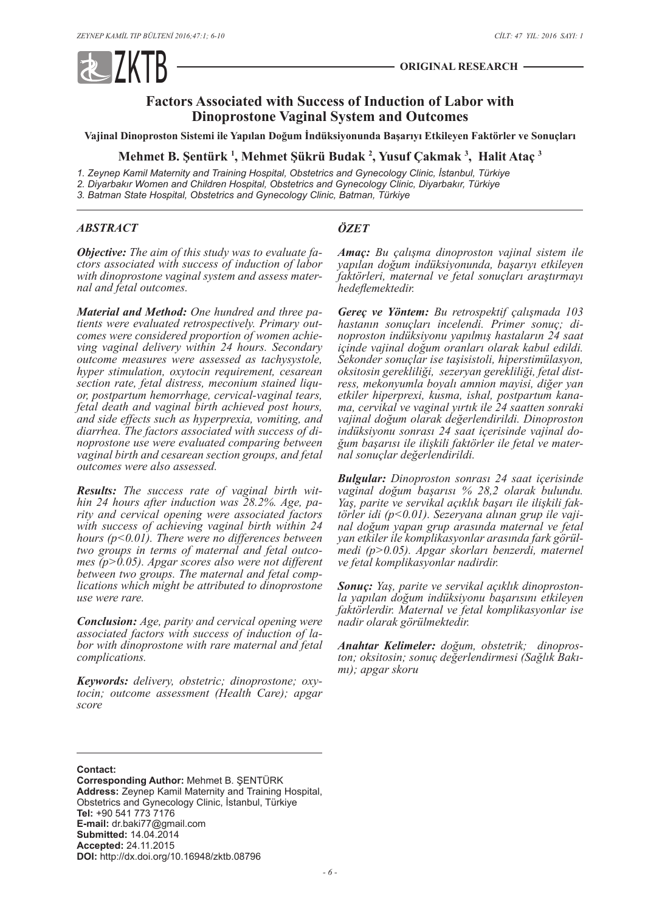

# **Factors Associated with Success of Induction of Labor with Dinoprostone Vaginal System and Outcomes**

**Vajinal Dinoproston Sistemi ile Yapılan Doğum İndüksiyonunda Başarıyı Etkileyen Faktörler ve Sonuçları**

**Mehmet B. Şentürk <sup>1</sup> , Mehmet Şükrü Budak <sup>2</sup> , Yusuf Çakmak <sup>3</sup> , Halit Ataç <sup>3</sup>**

*1. Zeynep Kamil Maternity and Training Hospital, Obstetrics and Gynecology Clinic, İstanbul, Türkiye 2. Diyarbakır Women and Children Hospital, Obstetrics and Gynecology Clinic, Diyarbakır, Türkiye*

*3. Batman State Hospital, Obstetrics and Gynecology Clinic, Batman, Türkiye*

#### *ABSTRACT*

*ÖZET*

*Objective: The aim of this study was to evaluate factors associated with success of induction of labor with dinoprostone vaginal system and assess maternal and fetal outcomes.*

*Material and Method: One hundred and three patients were evaluated retrospectively. Primary outcomes were considered proportion of women achieving vaginal delivery within 24 hours. Secondary outcome measures were assessed as tachysystole, hyper stimulation, oxytocin requirement, cesarean section rate, fetal distress, meconium stained liquor, postpartum hemorrhage, cervical-vaginal tears, fetal death and vaginal birth achieved post hours, and side effects such as hyperprexia, vomiting, and diarrhea. The factors associated with success of dinoprostone use were evaluated comparing between vaginal birth and cesarean section groups, and fetal outcomes were also assessed.*

*Results: The success rate of vaginal birth within 24 hours after induction was 28.2%. Age, parity and cervical opening were associated factors with success of achieving vaginal birth within 24 hours (p<0.01). There were no differences between two groups in terms of maternal and fetal outcomes (p>0.05). Apgar scores also were not different between two groups. The maternal and fetal complications which might be attributed to dinoprostone use were rare.*

*Conclusion: Age, parity and cervical opening were associated factors with success of induction of labor with dinoprostone with rare maternal and fetal complications.*

*Keywords: delivery, obstetric; dinoprostone; oxytocin; outcome assessment (Health Care); apgar score*

*Amaç: Bu çalışma dinoproston vajinal sistem ile yapılan doğum indüksiyonunda, başarıyı etkileyen faktörleri, maternal ve fetal sonuçları araştırmayı hedeflemektedir.*

*Gereç ve Yöntem: Bu retrospektif çalışmada 103 hastanın sonuçları incelendi. Primer sonuç; di- noproston indüksiyonu yapılmış hastaların 24 saat içinde vajinal doğum oranları olarak kabul edildi. Sekonder sonuçlar ise taşisistoli, hiperstimülasyon, oksitosin gerekliliği, sezeryan gerekliliği, fetal distress, mekonyumla boyalı amnion mayisi, diğer yan etkiler hiperprexi, kusma, ishal, postpartum kanama, cervikal ve vaginal yırtık ile 24 saatten sonraki vajinal doğum olarak değerlendirildi. Dinoproston indüksiyonu sonrası 24 saat içerisinde vajinal doğum başarısı ile ilişkili faktörler ile fetal ve maternal sonuçlar değerlendirildi.*

*Bulgular: Dinoproston sonrası 24 saat içerisinde vaginal doğum başarısı % 28,2 olarak bulundu. Yaş, parite ve servikal açıklık başarı ile ilişkili faktörler idi (p<0.01). Sezeryana alınan grup ile vajinal doğum yapan grup arasında maternal ve fetal yan etkiler ile komplikasyonlar arasında fark görülmedi (p>0.05). Apgar skorları benzerdi, maternel ve fetal komplikasyonlar nadirdir.*

*Sonuç: Yaş, parite ve servikal açıklık dinoprostonla yapılan doğum indüksiyonu başarısını etkileyen faktörlerdir. Maternal ve fetal komplikasyonlar ise nadir olarak görülmektedir.*

*Anahtar Kelimeler: doğum, obstetrik; dinoproston; oksitosin; sonuç değerlendirmesi (Sağlık Bakımı); apgar skoru*

**Contact:**

**Corresponding Author:** Mehmet B. ŞENTÜRK **Address:** Zeynep Kamil Maternity and Training Hospital, Obstetrics and Gynecology Clinic, İstanbul, Türkiye **Tel:** +90 541 773 7176 **E-mail:** dr.baki77@gmail.com **Submitted:** 14.04.2014 **Accepted:** 24.11.2015 **DOI:** http://dx.doi.org/10.16948/zktb.08796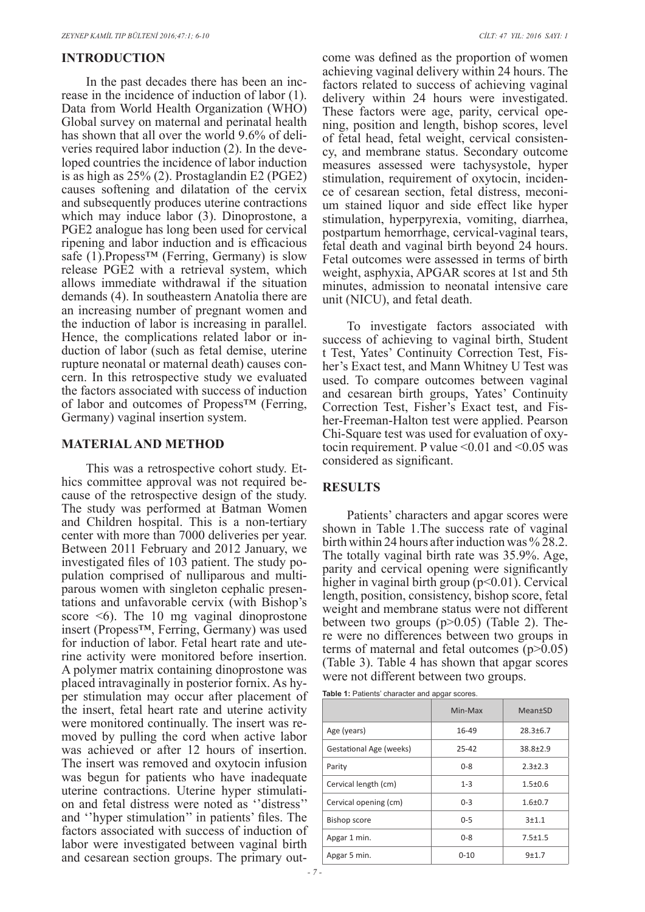# **INTRODUCTION**

In the past decades there has been an increase in the incidence of induction of labor (1). Data from World Health Organization (WHO) Global survey on maternal and perinatal health has shown that all over the world 9.6% of deliveries required labor induction (2). In the developed countries the incidence of labor induction is as high as 25% (2). Prostaglandin E2 (PGE2) causes softening and dilatation of the cervix and subsequently produces uterine contractions which may induce labor (3). Dinoprostone, a PGE2 analogue has long been used for cervical ripening and labor induction and is efficacious safe (1). Propess<sup>™</sup> (Ferring, Germany) is slow release PGE2 with a retrieval system, which allows immediate withdrawal if the situation demands (4). In southeastern Anatolia there are an increasing number of pregnant women and the induction of labor is increasing in parallel. Hence, the complications related labor or induction of labor (such as fetal demise, uterine rupture neonatal or maternal death) causes concern. In this retrospective study we evaluated the factors associated with success of induction of labor and outcomes of Propess™ (Ferring, Germany) vaginal insertion system.

# **MATERIAL AND METHOD**

This was a retrospective cohort study. Ethics committee approval was not required because of the retrospective design of the study. The study was performed at Batman Women and Children hospital. This is a non-tertiary center with more than 7000 deliveries per year. Between 2011 February and 2012 January, we investigated files of 103 patient. The study population comprised of nulliparous and multiparous women with singleton cephalic presentations and unfavorable cervix (with Bishop's score  $\leq 6$ ). The 10 mg vaginal dinoprostone insert (Propess™, Ferring, Germany) was used for induction of labor. Fetal heart rate and uterine activity were monitored before insertion. A polymer matrix containing dinoprostone was placed intravaginally in posterior fornix. As hyper stimulation may occur after placement of the insert, fetal heart rate and uterine activity were monitored continually. The insert was removed by pulling the cord when active labor was achieved or after 12 hours of insertion. The insert was removed and oxytocin infusion was begun for patients who have inadequate uterine contractions. Uterine hyper stimulation and fetal distress were noted as ''distress'' and ''hyper stimulation'' in patients' files. The factors associated with success of induction of labor were investigated between vaginal birth and cesarean section groups. The primary outcome was defined as the proportion of women achieving vaginal delivery within 24 hours. The factors related to success of achieving vaginal delivery within 24 hours were investigated. These factors were age, parity, cervical opening, position and length, bishop scores, level of fetal head, fetal weight, cervical consistency, and membrane status. Secondary outcome measures assessed were tachysystole, hyper stimulation, requirement of oxytocin, incidence of cesarean section, fetal distress, meconium stained liquor and side effect like hyper stimulation, hyperpyrexia, vomiting, diarrhea, postpartum hemorrhage, cervical-vaginal tears, fetal death and vaginal birth beyond 24 hours. Fetal outcomes were assessed in terms of birth weight, asphyxia, APGAR scores at 1st and 5th minutes, admission to neonatal intensive care unit (NICU), and fetal death.

To investigate factors associated with success of achieving to vaginal birth, Student t Test, Yates' Continuity Correction Test, Fisher's Exact test, and Mann Whitney U Test was used. To compare outcomes between vaginal and cesarean birth groups, Yates' Continuity Correction Test, Fisher's Exact test, and Fisher-Freeman-Halton test were applied. Pearson Chi-Square test was used for evaluation of oxytocin requirement. P value  $\leq 0.01$  and  $\leq 0.05$  was considered as significant.

## **RESULTS**

Patients' characters and apgar scores were shown in Table 1.The success rate of vaginal birth within 24 hours after induction was %  $28.2$ . The totally vaginal birth rate was 35.9%. Age, parity and cervical opening were significantly higher in vaginal birth group  $(p<0.01)$ . Cervical length, position, consistency, bishop score, fetal weight and membrane status were not different between two groups  $(p>0.05)$  (Table 2). There were no differences between two groups in terms of maternal and fetal outcomes (p>0.05) (Table 3). Table 4 has shown that apgar scores were not different between two groups.

**Table 1:** Patients' character and apgar scores.

|                                | Min-Max   | <b>Mean</b> <sup>t</sup> SD |
|--------------------------------|-----------|-----------------------------|
| Age (years)                    | 16-49     | $28.3 + 6.7$                |
| <b>Gestational Age (weeks)</b> | $25 - 42$ | $38.8 + 2.9$                |
| Parity                         | $0 - 8$   | $2.3 + 2.3$                 |
| Cervical length (cm)           | $1 - 3$   | $1.5 + 0.6$                 |
| Cervical opening (cm)          | $0 - 3$   | $1.6 + 0.7$                 |
| <b>Bishop score</b>            | $0 - 5$   | $3 + 1.1$                   |
| Apgar 1 min.                   | $0 - 8$   | $7.5 + 1.5$                 |
| Apgar 5 min.                   | $0 - 10$  | $9+1.7$                     |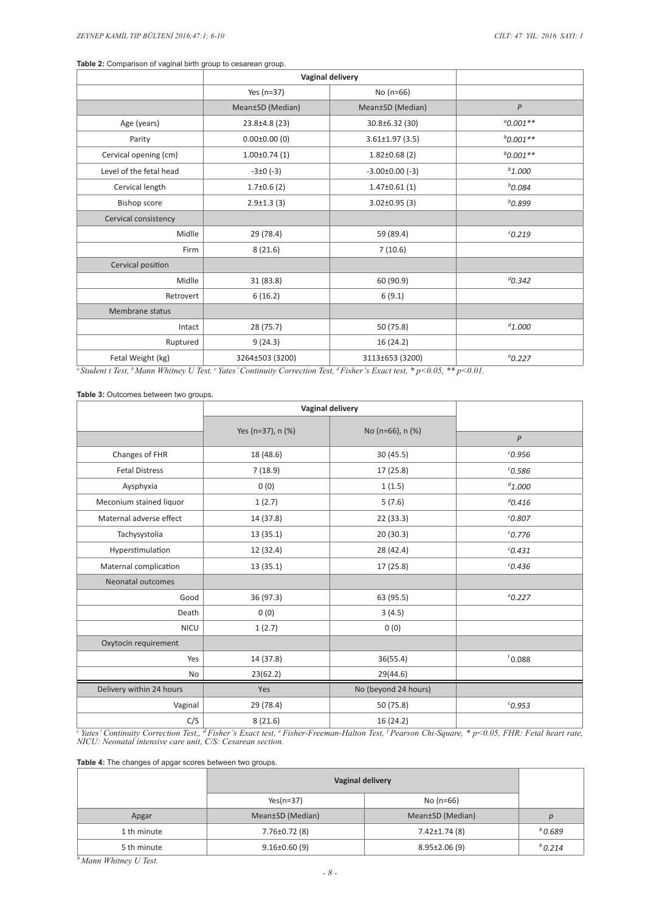#### **Table 2:** Comparison of vaginal birth group to cesarean group.

|                                                         | Vaginal delivery                |                       |               |
|---------------------------------------------------------|---------------------------------|-----------------------|---------------|
|                                                         | Yes ( $n=37$ )                  | No $(n=66)$           |               |
|                                                         | Mean±SD (Median)                | Mean±SD (Median)      | P             |
| Age (years)                                             | 23.8±4.8 (23)                   | 30.8±6.32 (30)        | $0.001**$     |
| Parity                                                  | $0.00 \pm 0.00$ (0)             | $3.61 \pm 1.97$ (3.5) | $b_{0.001**}$ |
| Cervical opening (cm)                                   | $1.00\pm0.74(1)$                | $1.82 \pm 0.68$ (2)   | $b_{0.001**}$ |
| Level of the fetal head                                 | $-3\pm0$ (-3)                   | $-3.00\pm0.00$ (-3)   | $b_{1.000}$   |
| Cervical length                                         | $1.7\pm0.6$ (2)                 | $1.47\pm0.61(1)$      | $b$ 0.084     |
| Bishop score                                            | $2.9 \pm 1.3$ (3)               | $3.02 \pm 0.95$ (3)   | $b$ 0.899     |
| Cervical consistency                                    |                                 |                       |               |
| Midlle                                                  | 29 (78.4)                       | 59 (89.4)             | $C$ 0.219     |
| Firm                                                    | 8(21.6)                         | 7(10.6)               |               |
| Cervical position                                       |                                 |                       |               |
| Midlle                                                  | 31(83.8)                        | 60 (90.9)             | $d_{0.342}$   |
| Retrovert                                               | 6(16.2)                         | 6(9.1)                |               |
| Membrane status                                         |                                 |                       |               |
| Intact                                                  | 28 (75.7)                       | 50 (75.8)             | $d_{1.000}$   |
| Ruptured                                                | 9(24.3)                         | 16 (24.2)             |               |
| Fetal Weight (kg)<br>$20.7 \times 10^{-1}$ kits $m_1$ . | 3264±503 (3200)<br>$\mathbf{r}$ | 3113±653 (3200)       | $^{a}$ 0.227  |

*a Student t Test, b Mann Whitney U Test, c Yates' Continuity Correction Test, d Fisher's Exact test, \* p<0.05, \*\* p<0.01.*

#### **Table 3:** Outcomes between two groups.

|                          | <b>Vaginal delivery</b> |                      |              |
|--------------------------|-------------------------|----------------------|--------------|
|                          |                         | No (n=66), n (%)     |              |
|                          | Yes (n=37), n (%)       |                      | P            |
| Changes of FHR           | 18 (48.6)               | 30 (45.5)            | $c$ 0.956    |
| <b>Fetal Distress</b>    | 7(18.9)                 | 17 (25.8)            | $^{c}$ 0.586 |
| Aysphyxia                | 0(0)                    | 1(1.5)               | $d_{1.000}$  |
| Meconium stained liquor  | 1(2.7)                  | 5(7.6)               | $^{d}$ 0.416 |
| Maternal adverse effect  | 14 (37.8)               | 22(33.3)             | $^{c}$ 0.807 |
| Tachysystolia            | 13(35.1)                | 20(30.3)             | $^{c}$ 0.776 |
| Hyperstimulation         | 12 (32.4)               | 28 (42.4)            | $^{c}$ 0.431 |
| Maternal complication    | 13(35.1)                | 17(25.8)             | $c$ 0.436    |
| Neonatal outcomes        |                         |                      |              |
| Good                     | 36(97.3)                | 63 (95.5)            | $^{e}$ 0.227 |
| Death                    | 0(0)                    | 3(4.5)               |              |
| <b>NICU</b>              | 1(2.7)                  | 0(0)                 |              |
| Oxytocin requirement     |                         |                      |              |
| Yes                      | 14 (37.8)               | 36(55.4)             | 60.088       |
| No                       | 23(62.2)                | 29(44.6)             |              |
| Delivery within 24 hours | Yes                     | No (beyond 24 hours) |              |
| Vaginal                  | 29 (78.4)               | 50 (75.8)            | $c$ 0.953    |
| C/S                      | 8(21.6)                 | 16(24.2)             |              |

<sup>c</sup> Yates' Continuity Correction Test,, <sup>d</sup> Fisher's Exact test, <sup>e</sup> Fisher-Freeman-Halton Test, <sup>f</sup> Pearson Chi-Square, \* p<0.05, FHR: Fetal heart rate,<br>NICU: Neonatal intensive care unit, C/S: Cesarean section.

**Table 4:** The changes of apgar scores between two groups.

|             | Vaginal delivery    |                     |                  |
|-------------|---------------------|---------------------|------------------|
|             | $Yes(n=37)$         | No $(n=66)$         |                  |
| Apgar       | Mean±SD (Median)    | Mean±SD (Median)    | $\boldsymbol{D}$ |
| 1 th minute | $7.76 \pm 0.72$ (8) | $7.42 \pm 1.74$ (8) | $^{b}$ 0.689     |
| 5 th minute | $9.16 \pm 0.60$ (9) | $8.95 \pm 2.06(9)$  | $^{b}$ 0.214     |

*<sup>b</sup> Mann Whitney U Test.*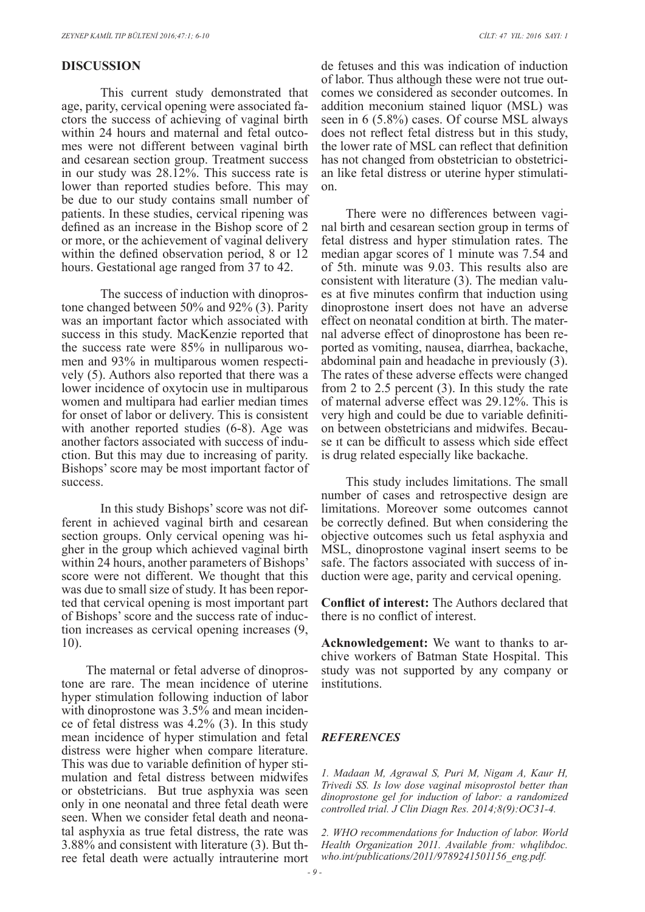# **DISCUSSION**

This current study demonstrated that age, parity, cervical opening were associated factors the success of achieving of vaginal birth within 24 hours and maternal and fetal outcomes were not different between vaginal birth and cesarean section group. Treatment success in our study was 28.12%. This success rate is lower than reported studies before. This may be due to our study contains small number of patients. In these studies, cervical ripening was defined as an increase in the Bishop score of 2 or more, or the achievement of vaginal delivery within the defined observation period, 8 or 12 hours. Gestational age ranged from 37 to 42.

The success of induction with dinoprostone changed between 50% and 92% (3). Parity was an important factor which associated with success in this study. MacKenzie reported that the success rate were 85% in nulliparous women and 93% in multiparous women respectively (5). Authors also reported that there was a lower incidence of oxytocin use in multiparous women and multipara had earlier median times for onset of labor or delivery. This is consistent with another reported studies  $(6-8)$ . Age was another factors associated with success of induction. But this may due to increasing of parity. Bishops' score may be most important factor of success.

In this study Bishops' score was not different in achieved vaginal birth and cesarean section groups. Only cervical opening was higher in the group which achieved vaginal birth within 24 hours, another parameters of Bishops' score were not different. We thought that this was due to small size of study. It has been reported that cervical opening is most important part of Bishops' score and the success rate of induction increases as cervical opening increases (9, 10).

The maternal or fetal adverse of dinoprostone are rare. The mean incidence of uterine hyper stimulation following induction of labor with dinoprostone was 3.5% and mean incidence of fetal distress was 4.2% (3). In this study mean incidence of hyper stimulation and fetal distress were higher when compare literature. This was due to variable definition of hyper stimulation and fetal distress between midwifes or obstetricians. But true asphyxia was seen only in one neonatal and three fetal death were seen. When we consider fetal death and neonatal asphyxia as true fetal distress, the rate was 3.88% and consistent with literature (3). But three fetal death were actually intrauterine mort

de fetuses and this was indication of induction of labor. Thus although these were not true outcomes we considered as seconder outcomes. In addition meconium stained liquor (MSL) was seen in 6 (5.8%) cases. Of course MSL always does not reflect fetal distress but in this study, the lower rate of MSL can reflect that definition has not changed from obstetrician to obstetrician like fetal distress or uterine hyper stimulation.

There were no differences between vaginal birth and cesarean section group in terms of fetal distress and hyper stimulation rates. The median apgar scores of 1 minute was 7.54 and of 5th. minute was 9.03. This results also are consistent with literature (3). The median values at five minutes confirm that induction using dinoprostone insert does not have an adverse effect on neonatal condition at birth. The maternal adverse effect of dinoprostone has been reported as vomiting, nausea, diarrhea, backache, abdominal pain and headache in previously (3). The rates of these adverse effects were changed from 2 to 2.5 percent (3). In this study the rate of maternal adverse effect was 29.12%. This is very high and could be due to variable definition between obstetricians and midwifes. Because ıt can be difficult to assess which side effect is drug related especially like backache.

This study includes limitations. The small number of cases and retrospective design are limitations. Moreover some outcomes cannot be correctly defined. But when considering the objective outcomes such us fetal asphyxia and MSL, dinoprostone vaginal insert seems to be safe. The factors associated with success of induction were age, parity and cervical opening.

**Conflict of interest:** The Authors declared that there is no conflict of interest.

**Acknowledgement:** We want to thanks to archive workers of Batman State Hospital. This study was not supported by any company or institutions.

#### *REFERENCES*

*1. Madaan M, Agrawal S, Puri M, Nigam A, Kaur H, Trivedi SS. Is low dose vaginal misoprostol better than dinoprostone gel for induction of labor: a randomized controlled trial. J Clin Diagn Res. 2014;8(9):OC31-4.*

*2. WHO recommendations for Induction of labor. World Health Organization 2011. Available from: whqlibdoc. who.int/publications/2011/9789241501156\_eng.pdf.*